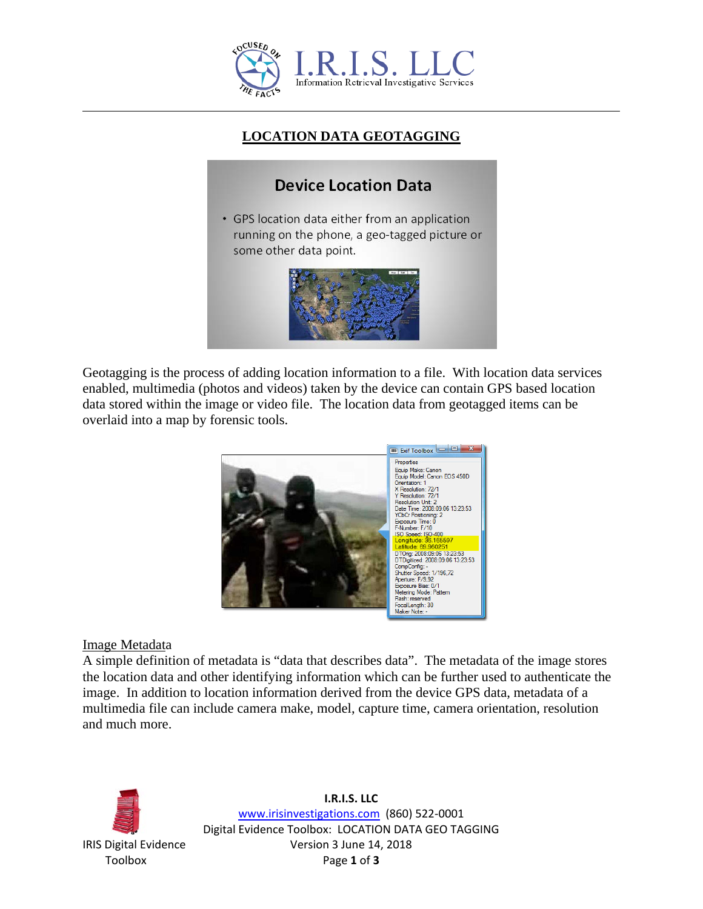

## **LOCATION DATA GEOTAGGING**

# **Device Location Data**

• GPS location data either from an application running on the phone, a geo-tagged picture or some other data point.



Geotagging is the process of adding location information to a file. With location data services enabled, multimedia (photos and videos) taken by the device can contain GPS based location data stored within the image or video file. The location data from geotagged items can be overlaid into a map by forensic tools.



#### Image Metadata

A simple definition of metadata is "data that describes data". The metadata of the image stores the location data and other identifying information which can be further used to authenticate the image. In addition to location information derived from the device GPS data, metadata of a multimedia file can include camera make, model, capture time, camera orientation, resolution and much more.



**I.R.I.S. LLC** [www.irisinvestigations.com](http://www.irisinvestigations.com/) (860) 522-0001 Digital Evidence Toolbox: LOCATION DATA GEO TAGGING IRIS Digital Evidence Version 3 June 14, 2018 Toolbox Page **1** of **3**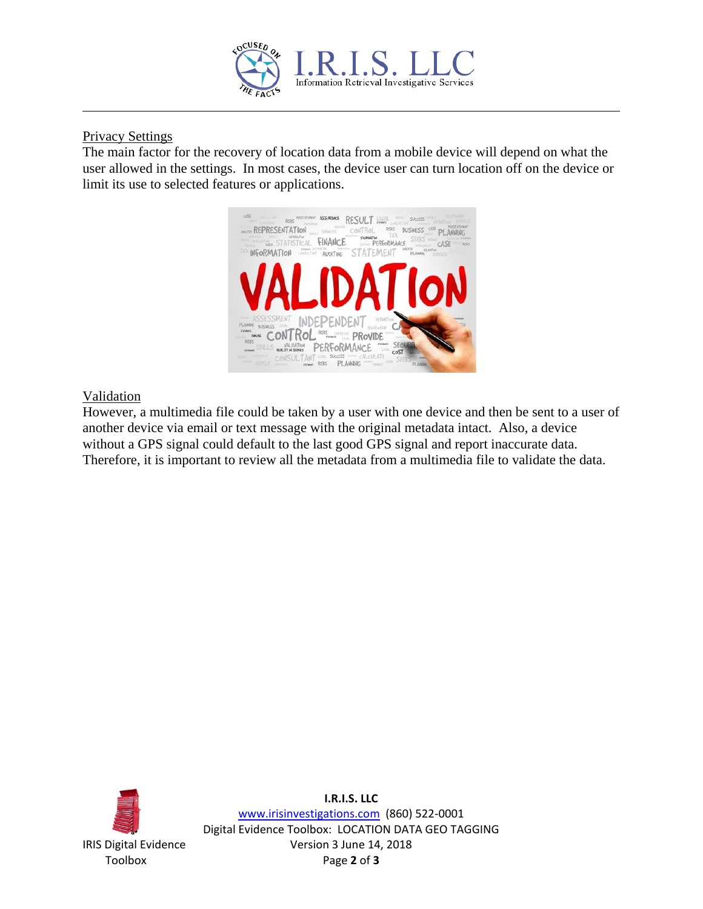

### Privacy Settings

The main factor for the recovery of location data from a mobile device will depend on what the user allowed in the settings. In most cases, the device user can turn location off on the device or limit its use to selected features or applications.



### Validation

However, a multimedia file could be taken by a user with one device and then be sent to a user of another device via email or text message with the original metadata intact. Also, a device without a GPS signal could default to the last good GPS signal and report inaccurate data. Therefore, it is important to review all the metadata from a multimedia file to validate the data.



**I.R.I.S. LLC** [www.irisinvestigations.com](http://www.irisinvestigations.com/) (860) 522-0001 Digital Evidence Toolbox: LOCATION DATA GEO TAGGING IRIS Digital Evidence Version 3 June 14, 2018 Toolbox Page **2** of **3**